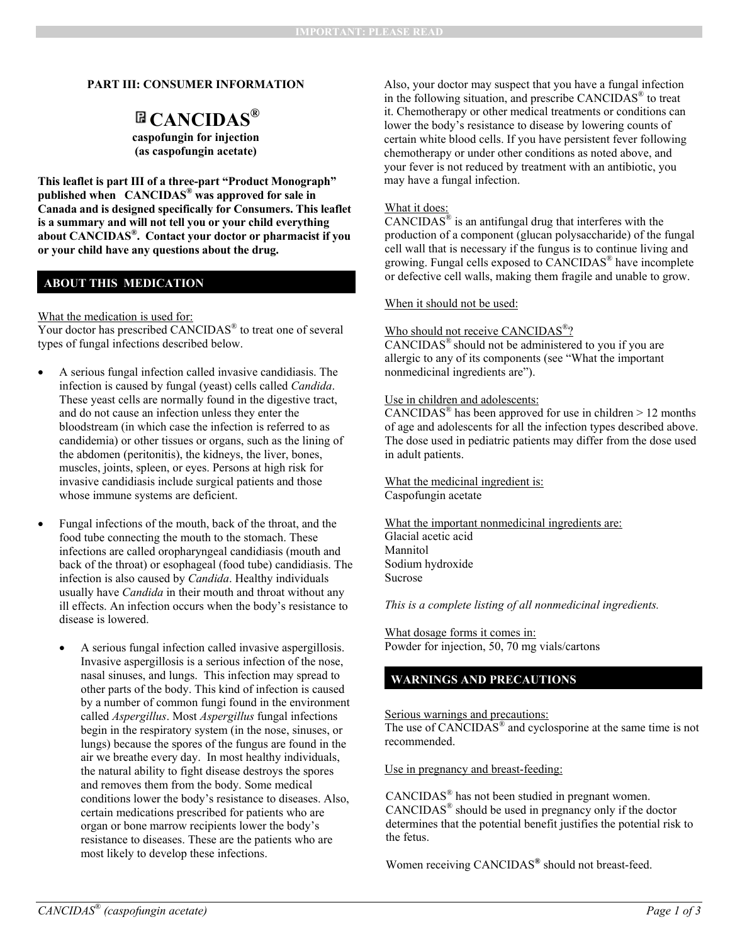## **PART III: CONSUMER INFORMATION**

# **CANCIDAS®**

**caspofungin for injection (as caspofungin acetate)**

**This leaflet is part III of a three-part "Product Monograph" published when CANCIDAS® was approved for sale in Canada and is designed specifically for Consumers. This leaflet is a summary and will not tell you or your child everything about CANCIDAS®. Contact your doctor or pharmacist if you or your child have any questions about the drug.** 

## **ABOUT THIS MEDICATION**

What the medication is used for:

Your doctor has prescribed CANCIDAS<sup>®</sup> to treat one of several types of fungal infections described below.

- A serious fungal infection called invasive candidiasis. The infection is caused by fungal (yeast) cells called *Candida*. These yeast cells are normally found in the digestive tract, and do not cause an infection unless they enter the bloodstream (in which case the infection is referred to as candidemia) or other tissues or organs, such as the lining of the abdomen (peritonitis), the kidneys, the liver, bones, muscles, joints, spleen, or eyes. Persons at high risk for invasive candidiasis include surgical patients and those whose immune systems are deficient.
- Fungal infections of the mouth, back of the throat, and the food tube connecting the mouth to the stomach. These infections are called oropharyngeal candidiasis (mouth and back of the throat) or esophageal (food tube) candidiasis. The infection is also caused by *Candida*. Healthy individuals usually have *Candida* in their mouth and throat without any ill effects. An infection occurs when the body's resistance to disease is lowered.
	- A serious fungal infection called invasive aspergillosis. Invasive aspergillosis is a serious infection of the nose, nasal sinuses, and lungs. This infection may spread to other parts of the body. This kind of infection is caused by a number of common fungi found in the environment called *Aspergillus*. Most *Aspergillus* fungal infections begin in the respiratory system (in the nose, sinuses, or lungs) because the spores of the fungus are found in the air we breathe every day. In most healthy individuals, the natural ability to fight disease destroys the spores and removes them from the body. Some medical conditions lower the body's resistance to diseases. Also, certain medications prescribed for patients who are organ or bone marrow recipients lower the body's resistance to diseases. These are the patients who are most likely to develop these infections.

Also, your doctor may suspect that you have a fungal infection in the following situation, and prescribe CANCIDAS® to treat it. Chemotherapy or other medical treatments or conditions can lower the body's resistance to disease by lowering counts of certain white blood cells. If you have persistent fever following chemotherapy or under other conditions as noted above, and your fever is not reduced by treatment with an antibiotic, you may have a fungal infection.

## What it does:

CANCIDAS $^{\circ}$  is an antifungal drug that interferes with the production of a component (glucan polysaccharide) of the fungal cell wall that is necessary if the fungus is to continue living and growing. Fungal cells exposed to CANCIDAS® have incomplete or defective cell walls, making them fragile and unable to grow.

When it should not be used:

### Who should not receive CANCIDAS<sup>®</sup>?

CANCIDAS® should not be administered to you if you are allergic to any of its components (see "What the important nonmedicinal ingredients are").

### Use in children and adolescents:

CANCIDAS<sup>®</sup> has been approved for use in children  $> 12$  months of age and adolescents for all the infection types described above. The dose used in pediatric patients may differ from the dose used in adult patients.

What the medicinal ingredient is: Caspofungin acetate

What the important nonmedicinal ingredients are: Glacial acetic acid Mannitol Sodium hydroxide Sucrose

*This is a complete listing of all nonmedicinal ingredients.* 

What dosage forms it comes in: Powder for injection, 50, 70 mg vials/cartons

## **WARNINGS AND PRECAUTIONS**

Serious warnings and precautions:

The use of CANCIDAS<sup>®</sup> and cyclosporine at the same time is not recommended.

Use in pregnancy and breast-feeding:

CANCIDAS® has not been studied in pregnant women. CANCIDAS® should be used in pregnancy only if the doctor determines that the potential benefit justifies the potential risk to the fetus.

Women receiving CANCIDAS**®** should not breast-feed.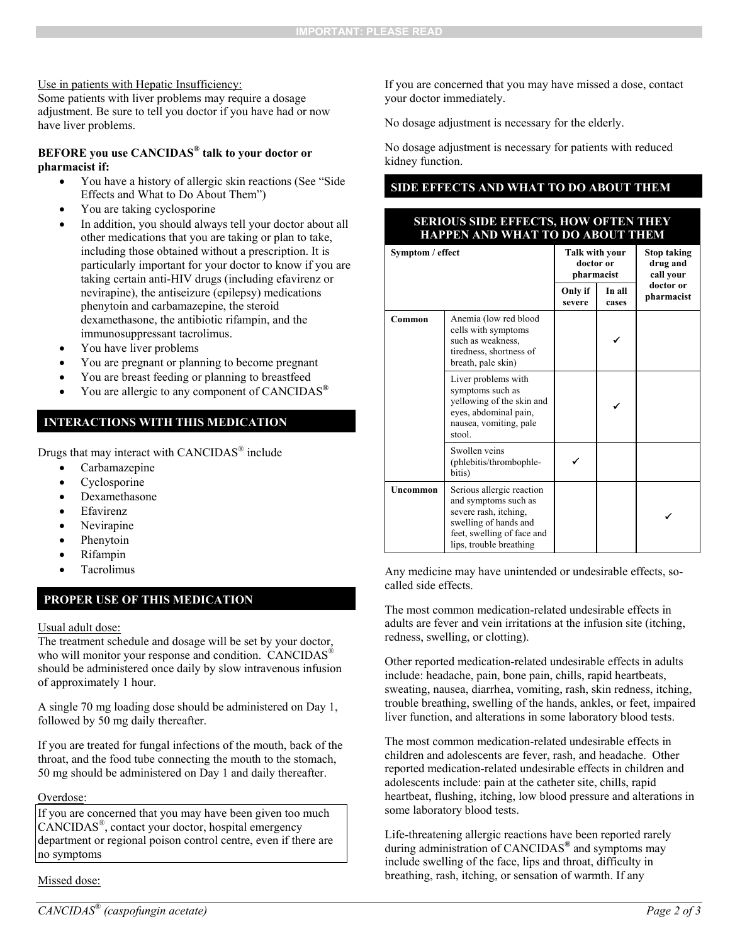## Use in patients with Hepatic Insufficiency:

Some patients with liver problems may require a dosage adjustment. Be sure to tell you doctor if you have had or now have liver problems.

## **BEFORE you use CANCIDAS® talk to your doctor or pharmacist if:**

- You have a history of allergic skin reactions (See "Side Effects and What to Do About Them")
- You are taking cyclosporine
- In addition, you should always tell your doctor about all other medications that you are taking or plan to take, including those obtained without a prescription. It is particularly important for your doctor to know if you are taking certain anti-HIV drugs (including efavirenz or nevirapine), the antiseizure (epilepsy) medications phenytoin and carbamazepine, the steroid dexamethasone, the antibiotic rifampin, and the immunosuppressant tacrolimus.
- You have liver problems
- You are pregnant or planning to become pregnant
- You are breast feeding or planning to breastfeed
- You are allergic to any component of CANCIDAS**®**

# **INTERACTIONS WITH THIS MEDICATION**

Drugs that may interact with CANCIDAS® include

- Carbamazepine
- Cyclosporine
- Dexamethasone
- Efavirenz
- Nevirapine
- Phenytoin
- Rifampin
- Tacrolimus

# **PROPER USE OF THIS MEDICATION**

## Usual adult dose:

The treatment schedule and dosage will be set by your doctor, who will monitor your response and condition. CANCIDAS<sup>®</sup> should be administered once daily by slow intravenous infusion of approximately 1 hour.

A single 70 mg loading dose should be administered on Day 1, followed by 50 mg daily thereafter.

If you are treated for fungal infections of the mouth, back of the throat, and the food tube connecting the mouth to the stomach, 50 mg should be administered on Day 1 and daily thereafter.

#### Overdose:

If you are concerned that you may have been given too much CANCIDAS®, contact your doctor, hospital emergency department or regional poison control centre, even if there are no symptoms

Missed dose:

If you are concerned that you may have missed a dose, contact your doctor immediately.

No dosage adjustment is necessary for the elderly.

No dosage adjustment is necessary for patients with reduced kidney function.

# **SIDE EFFECTS AND WHAT TO DO ABOUT THEM**

## **SERIOUS SIDE EFFECTS, HOW OFTEN THEY HAPPEN AND WHAT TO DO ABOUT THEM**

| Symptom / effect |                                                                                                                                                              | Talk with your<br>doctor or<br>pharmacist |                 | <b>Stop taking</b><br>drug and<br>call your |
|------------------|--------------------------------------------------------------------------------------------------------------------------------------------------------------|-------------------------------------------|-----------------|---------------------------------------------|
|                  |                                                                                                                                                              | Only if<br>severe                         | In all<br>cases | doctor or<br>pharmacist                     |
| Common           | Anemia (low red blood<br>cells with symptoms<br>such as weakness,<br>tiredness, shortness of<br>breath, pale skin)                                           |                                           |                 |                                             |
|                  | Liver problems with<br>symptoms such as<br>yellowing of the skin and<br>eyes, abdominal pain,<br>nausea, vomiting, pale<br>stool.                            |                                           |                 |                                             |
|                  | Swollen veins<br>(phlebitis/thrombophle-<br>bitis)                                                                                                           |                                           |                 |                                             |
| Uncommon         | Serious allergic reaction<br>and symptoms such as<br>severe rash, itching,<br>swelling of hands and<br>feet, swelling of face and<br>lips, trouble breathing |                                           |                 |                                             |

Any medicine may have unintended or undesirable effects, socalled side effects.

The most common medication-related undesirable effects in adults are fever and vein irritations at the infusion site (itching, redness, swelling, or clotting).

Other reported medication-related undesirable effects in adults include: headache, pain, bone pain, chills, rapid heartbeats, sweating, nausea, diarrhea, vomiting, rash, skin redness, itching, trouble breathing, swelling of the hands, ankles, or feet, impaired liver function, and alterations in some laboratory blood tests.

The most common medication-related undesirable effects in children and adolescents are fever, rash, and headache. Other reported medication-related undesirable effects in children and adolescents include: pain at the catheter site, chills, rapid heartbeat, flushing, itching, low blood pressure and alterations in some laboratory blood tests.

Life-threatening allergic reactions have been reported rarely during administration of CANCIDAS**®** and symptoms may include swelling of the face, lips and throat, difficulty in breathing, rash, itching, or sensation of warmth. If any